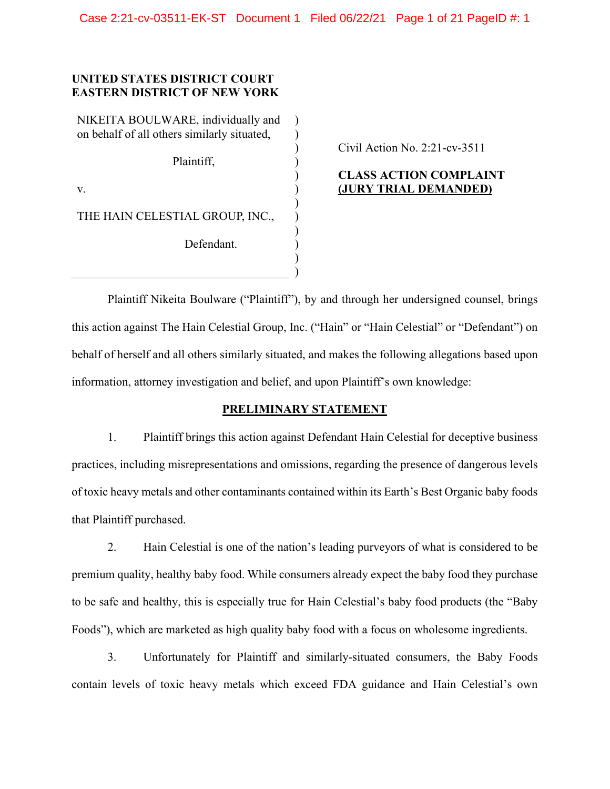) ) ) ) ) ) ) ) ) ) ) )

### **UNITED STATES DISTRICT COURT EASTERN DISTRICT OF NEW YORK**

NIKEITA BOULWARE, individually and on behalf of all others similarly situated,

Plaintiff,

v.

THE HAIN CELESTIAL GROUP, INC.,

Defendant.

Civil Action No. 2:21-cv-3511

## **CLASS ACTION COMPLAINT (JURY TRIAL DEMANDED)**

Plaintiff Nikeita Boulware ("Plaintiff"), by and through her undersigned counsel, brings this action against The Hain Celestial Group, Inc. ("Hain" or "Hain Celestial" or "Defendant") on behalf of herself and all others similarly situated, and makes the following allegations based upon information, attorney investigation and belief, and upon Plaintiff's own knowledge:

### **PRELIMINARY STATEMENT**

1. Plaintiff brings this action against Defendant Hain Celestial for deceptive business practices, including misrepresentations and omissions, regarding the presence of dangerous levels of toxic heavy metals and other contaminants contained within its Earth's Best Organic baby foods that Plaintiff purchased.

2. Hain Celestial is one of the nation's leading purveyors of what is considered to be premium quality, healthy baby food. While consumers already expect the baby food they purchase to be safe and healthy, this is especially true for Hain Celestial's baby food products (the "Baby Foods"), which are marketed as high quality baby food with a focus on wholesome ingredients.

3. Unfortunately for Plaintiff and similarly-situated consumers, the Baby Foods contain levels of toxic heavy metals which exceed FDA guidance and Hain Celestial's own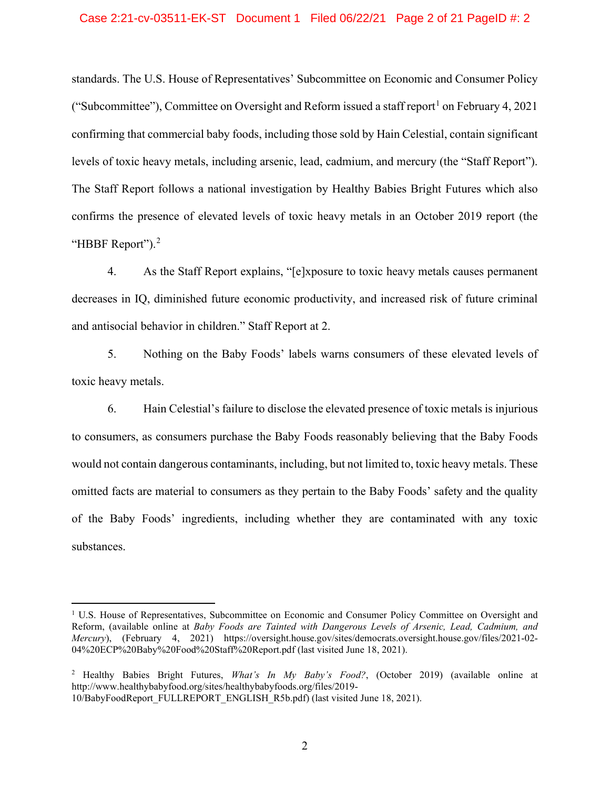standards. The U.S. House of Representatives' Subcommittee on Economic and Consumer Policy ("Subcommittee"), Committee on Oversight and Reform issued a staff report<sup>[1](#page-1-0)</sup> on February 4, 2021 confirming that commercial baby foods, including those sold by Hain Celestial, contain significant levels of toxic heavy metals, including arsenic, lead, cadmium, and mercury (the "Staff Report"). The Staff Report follows a national investigation by Healthy Babies Bright Futures which also confirms the presence of elevated levels of toxic heavy metals in an October 2019 report (the "HBBF Report").<sup>[2](#page-1-1)</sup>

4. As the Staff Report explains, "[e]xposure to toxic heavy metals causes permanent decreases in IQ, diminished future economic productivity, and increased risk of future criminal and antisocial behavior in children." Staff Report at 2.

5. Nothing on the Baby Foods' labels warns consumers of these elevated levels of toxic heavy metals.

6. Hain Celestial's failure to disclose the elevated presence of toxic metals is injurious to consumers, as consumers purchase the Baby Foods reasonably believing that the Baby Foods would not contain dangerous contaminants, including, but not limited to, toxic heavy metals. These omitted facts are material to consumers as they pertain to the Baby Foods' safety and the quality of the Baby Foods' ingredients, including whether they are contaminated with any toxic substances.

<span id="page-1-0"></span> $1$  U.S. House of Representatives, Subcommittee on Economic and Consumer Policy Committee on Oversight and Reform, (available online at *Baby Foods are Tainted with Dangerous Levels of Arsenic, Lead, Cadmium, and Mercury*), (February 4, 2021) https://oversight.house.gov/sites/democrats.oversight.house.gov/files/2021-02- 04%20ECP%20Baby%20Food%20Staff%20Report.pdf (last visited June 18, 2021).

<span id="page-1-1"></span><sup>2</sup> Healthy Babies Bright Futures, *What's In My Baby's Food?*, (October 2019) (available online at http://www.healthybabyfood.org/sites/healthybabyfoods.org/files/2019- 10/BabyFoodReport\_FULLREPORT\_ENGLISH\_R5b.pdf) (last visited June 18, 2021).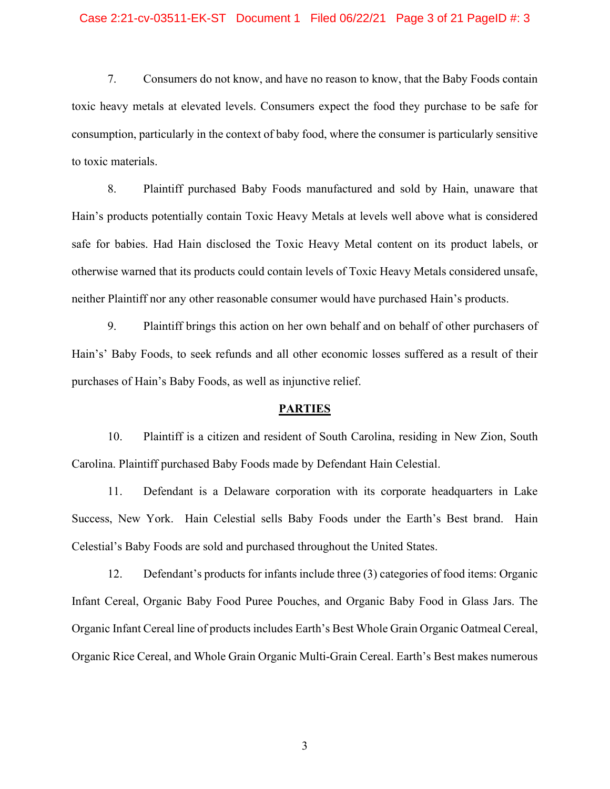#### Case 2:21-cv-03511-EK-ST Document 1 Filed 06/22/21 Page 3 of 21 PageID #: 3

7. Consumers do not know, and have no reason to know, that the Baby Foods contain toxic heavy metals at elevated levels. Consumers expect the food they purchase to be safe for consumption, particularly in the context of baby food, where the consumer is particularly sensitive to toxic materials.

8. Plaintiff purchased Baby Foods manufactured and sold by Hain, unaware that Hain's products potentially contain Toxic Heavy Metals at levels well above what is considered safe for babies. Had Hain disclosed the Toxic Heavy Metal content on its product labels, or otherwise warned that its products could contain levels of Toxic Heavy Metals considered unsafe, neither Plaintiff nor any other reasonable consumer would have purchased Hain's products.

9. Plaintiff brings this action on her own behalf and on behalf of other purchasers of Hain's' Baby Foods, to seek refunds and all other economic losses suffered as a result of their purchases of Hain's Baby Foods, as well as injunctive relief.

#### **PARTIES**

10. Plaintiff is a citizen and resident of South Carolina, residing in New Zion, South Carolina. Plaintiff purchased Baby Foods made by Defendant Hain Celestial.

11. Defendant is a Delaware corporation with its corporate headquarters in Lake Success, New York. Hain Celestial sells Baby Foods under the Earth's Best brand. Hain Celestial's Baby Foods are sold and purchased throughout the United States.

12. Defendant's products for infants include three (3) categories of food items: Organic Infant Cereal, Organic Baby Food Puree Pouches, and Organic Baby Food in Glass Jars. The Organic Infant Cereal line of products includes Earth's Best Whole Grain Organic Oatmeal Cereal, Organic Rice Cereal, and Whole Grain Organic Multi-Grain Cereal. Earth's Best makes numerous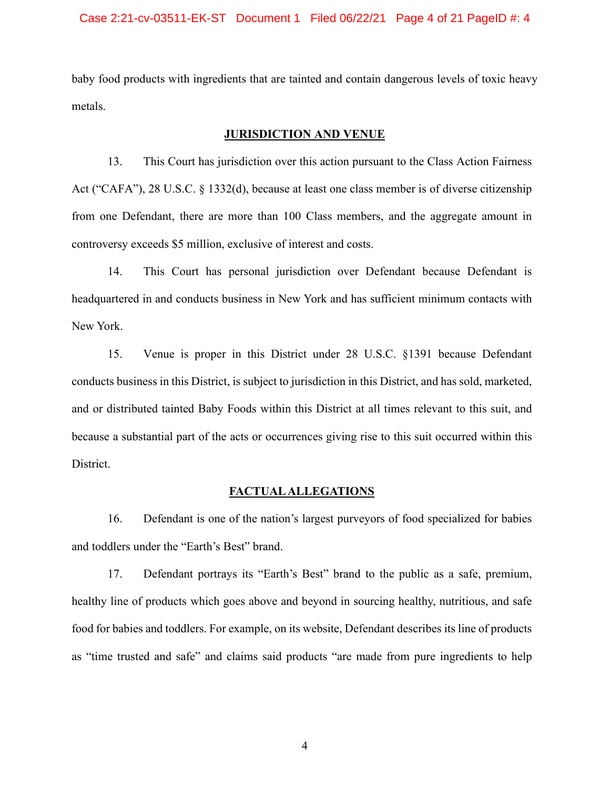baby food products with ingredients that are tainted and contain dangerous levels of toxic heavy metals.

### **JURISDICTION AND VENUE**

13. This Court has jurisdiction over this action pursuant to the Class Action Fairness Act ("CAFA"), 28 U.S.C. § 1332(d), because at least one class member is of diverse citizenship from one Defendant, there are more than 100 Class members, and the aggregate amount in controversy exceeds \$5 million, exclusive of interest and costs.

14. This Court has personal jurisdiction over Defendant because Defendant is headquartered in and conducts business in New York and has sufficient minimum contacts with New York.

15. Venue is proper in this District under 28 U.S.C. §1391 because Defendant conducts business in this District, is subject to jurisdiction in this District, and has sold, marketed, and or distributed tainted Baby Foods within this District at all times relevant to this suit, and because a substantial part of the acts or occurrences giving rise to this suit occurred within this District.

### **FACTUAL ALLEGATIONS**

16. Defendant is one of the nation's largest purveyors of food specialized for babies and toddlers under the "Earth's Best" brand.

17. Defendant portrays its "Earth's Best" brand to the public as a safe, premium, healthy line of products which goes above and beyond in sourcing healthy, nutritious, and safe food for babies and toddlers. For example, on its website, Defendant describes its line of products as "time trusted and safe" and claims said products "are made from pure ingredients to help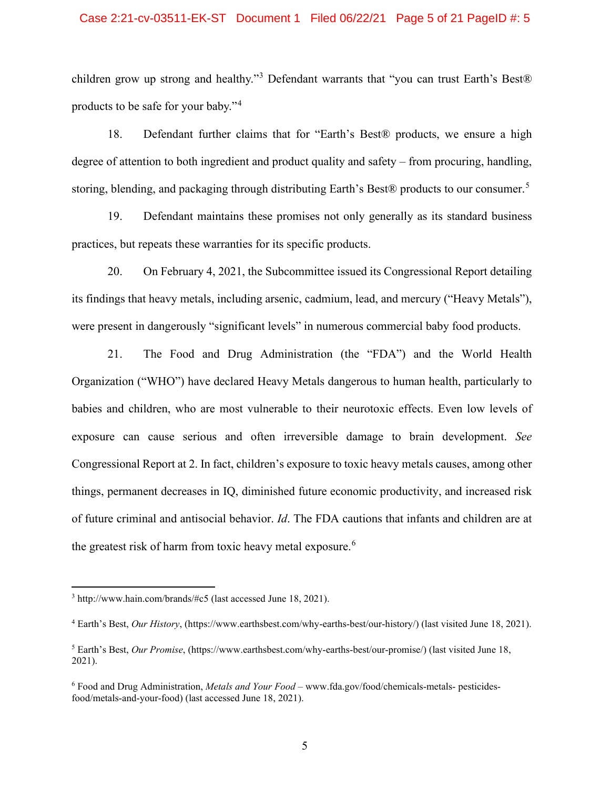### Case 2:21-cv-03511-EK-ST Document 1 Filed 06/22/21 Page 5 of 21 PageID #: 5

children grow up strong and healthy."[3](#page-4-0) Defendant warrants that "you can trust Earth's Best® products to be safe for your baby."[4](#page-4-1)

18. Defendant further claims that for "Earth's Best® products, we ensure a high degree of attention to both ingredient and product quality and safety – from procuring, handling, storing, blending, and packaging through distributing Earth's Best® products to our consumer.<sup>[5](#page-4-2)</sup>

19. Defendant maintains these promises not only generally as its standard business practices, but repeats these warranties for its specific products.

20. On February 4, 2021, the Subcommittee issued its Congressional Report detailing its findings that heavy metals, including arsenic, cadmium, lead, and mercury ("Heavy Metals"), were present in dangerously "significant levels" in numerous commercial baby food products.

21. The Food and Drug Administration (the "FDA") and the World Health Organization ("WHO") have declared Heavy Metals dangerous to human health, particularly to babies and children, who are most vulnerable to their neurotoxic effects. Even low levels of exposure can cause serious and often irreversible damage to brain development. *See*  Congressional Report at 2. In fact, children's exposure to toxic heavy metals causes, among other things, permanent decreases in IQ, diminished future economic productivity, and increased risk of future criminal and antisocial behavior. *Id*. The FDA cautions that infants and children are at the greatest risk of harm from toxic heavy metal exposure.<sup>[6](#page-4-3)</sup>

<span id="page-4-0"></span><sup>3</sup> http://www.hain.com/brands/#c5 (last accessed June 18, 2021).

<span id="page-4-1"></span><sup>4</sup> Earth's Best, *Our History*, (https://www.earthsbest.com/why-earths-best/our-history/) (last visited June 18, 2021).

<span id="page-4-2"></span><sup>5</sup> Earth's Best, *Our Promise*, (https://www.earthsbest.com/why-earths-best/our-promise/) (last visited June 18, 2021).

<span id="page-4-3"></span><sup>6</sup> Food and Drug Administration, *Metals and Your Food* – www.fda.gov/food/chemicals-metals- pesticidesfood/metals-and-your-food) (last accessed June 18, 2021).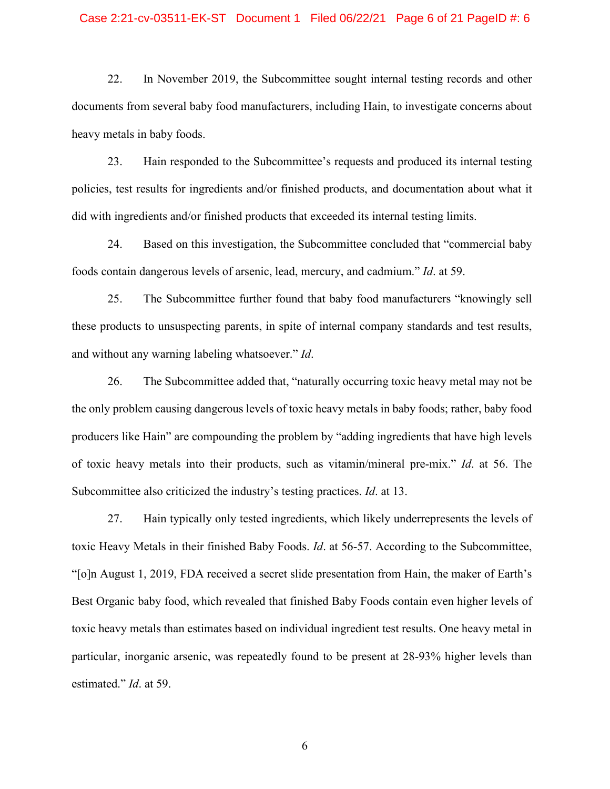#### Case 2:21-cv-03511-EK-ST Document 1 Filed 06/22/21 Page 6 of 21 PageID #: 6

22. In November 2019, the Subcommittee sought internal testing records and other documents from several baby food manufacturers, including Hain, to investigate concerns about heavy metals in baby foods.

23. Hain responded to the Subcommittee's requests and produced its internal testing policies, test results for ingredients and/or finished products, and documentation about what it did with ingredients and/or finished products that exceeded its internal testing limits.

24. Based on this investigation, the Subcommittee concluded that "commercial baby foods contain dangerous levels of arsenic, lead, mercury, and cadmium." *Id*. at 59.

25. The Subcommittee further found that baby food manufacturers "knowingly sell these products to unsuspecting parents, in spite of internal company standards and test results, and without any warning labeling whatsoever." *Id*.

26. The Subcommittee added that, "naturally occurring toxic heavy metal may not be the only problem causing dangerous levels of toxic heavy metals in baby foods; rather, baby food producers like Hain" are compounding the problem by "adding ingredients that have high levels of toxic heavy metals into their products, such as vitamin/mineral pre-mix." *Id*. at 56. The Subcommittee also criticized the industry's testing practices. *Id*. at 13.

27. Hain typically only tested ingredients, which likely underrepresents the levels of toxic Heavy Metals in their finished Baby Foods. *Id*. at 56-57. According to the Subcommittee, "[o]n August 1, 2019, FDA received a secret slide presentation from Hain, the maker of Earth's Best Organic baby food, which revealed that finished Baby Foods contain even higher levels of toxic heavy metals than estimates based on individual ingredient test results. One heavy metal in particular, inorganic arsenic, was repeatedly found to be present at 28-93% higher levels than estimated." *Id*. at 59.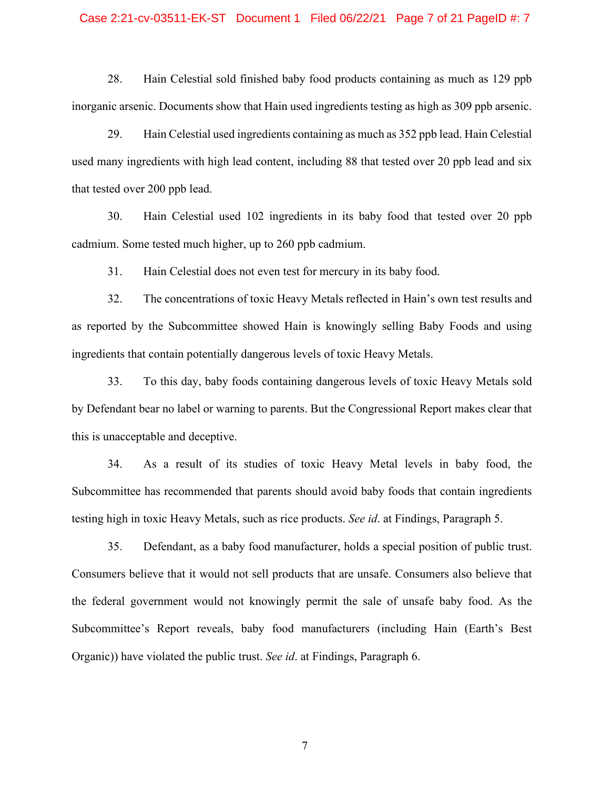#### Case 2:21-cv-03511-EK-ST Document 1 Filed 06/22/21 Page 7 of 21 PageID #: 7

28. Hain Celestial sold finished baby food products containing as much as 129 ppb inorganic arsenic. Documents show that Hain used ingredients testing as high as 309 ppb arsenic.

29. Hain Celestial used ingredients containing as much as 352 ppb lead. Hain Celestial used many ingredients with high lead content, including 88 that tested over 20 ppb lead and six that tested over 200 ppb lead.

30. Hain Celestial used 102 ingredients in its baby food that tested over 20 ppb cadmium. Some tested much higher, up to 260 ppb cadmium.

31. Hain Celestial does not even test for mercury in its baby food.

32. The concentrations of toxic Heavy Metals reflected in Hain's own test results and as reported by the Subcommittee showed Hain is knowingly selling Baby Foods and using ingredients that contain potentially dangerous levels of toxic Heavy Metals.

33. To this day, baby foods containing dangerous levels of toxic Heavy Metals sold by Defendant bear no label or warning to parents. But the Congressional Report makes clear that this is unacceptable and deceptive.

34. As a result of its studies of toxic Heavy Metal levels in baby food, the Subcommittee has recommended that parents should avoid baby foods that contain ingredients testing high in toxic Heavy Metals, such as rice products. *See id*. at Findings, Paragraph 5.

35. Defendant, as a baby food manufacturer, holds a special position of public trust. Consumers believe that it would not sell products that are unsafe. Consumers also believe that the federal government would not knowingly permit the sale of unsafe baby food. As the Subcommittee's Report reveals, baby food manufacturers (including Hain (Earth's Best Organic)) have violated the public trust. *See id*. at Findings, Paragraph 6.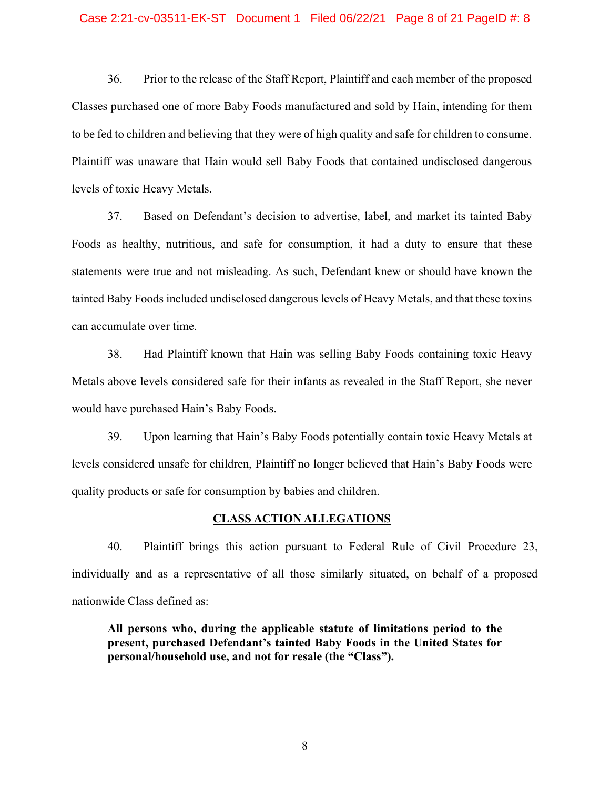#### Case 2:21-cv-03511-EK-ST Document 1 Filed 06/22/21 Page 8 of 21 PageID #: 8

36. Prior to the release of the Staff Report, Plaintiff and each member of the proposed Classes purchased one of more Baby Foods manufactured and sold by Hain, intending for them to be fed to children and believing that they were of high quality and safe for children to consume. Plaintiff was unaware that Hain would sell Baby Foods that contained undisclosed dangerous levels of toxic Heavy Metals.

37. Based on Defendant's decision to advertise, label, and market its tainted Baby Foods as healthy, nutritious, and safe for consumption, it had a duty to ensure that these statements were true and not misleading. As such, Defendant knew or should have known the tainted Baby Foods included undisclosed dangerous levels of Heavy Metals, and that these toxins can accumulate over time.

38. Had Plaintiff known that Hain was selling Baby Foods containing toxic Heavy Metals above levels considered safe for their infants as revealed in the Staff Report, she never would have purchased Hain's Baby Foods.

39. Upon learning that Hain's Baby Foods potentially contain toxic Heavy Metals at levels considered unsafe for children, Plaintiff no longer believed that Hain's Baby Foods were quality products or safe for consumption by babies and children.

### **CLASS ACTION ALLEGATIONS**

40. Plaintiff brings this action pursuant to Federal Rule of Civil Procedure 23, individually and as a representative of all those similarly situated, on behalf of a proposed nationwide Class defined as:

**All persons who, during the applicable statute of limitations period to the present, purchased Defendant's tainted Baby Foods in the United States for personal/household use, and not for resale (the "Class").**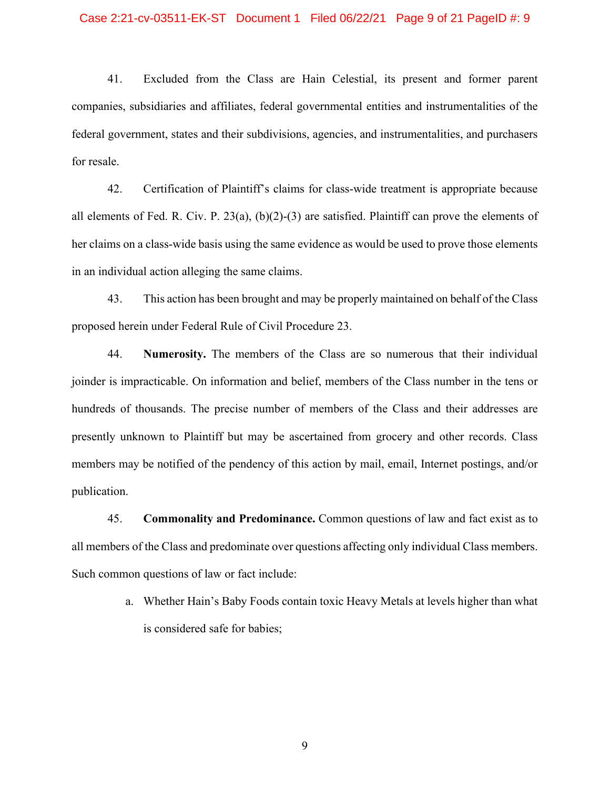#### Case 2:21-cv-03511-EK-ST Document 1 Filed 06/22/21 Page 9 of 21 PageID #: 9

41. Excluded from the Class are Hain Celestial, its present and former parent companies, subsidiaries and affiliates, federal governmental entities and instrumentalities of the federal government, states and their subdivisions, agencies, and instrumentalities, and purchasers for resale.

42. Certification of Plaintiff's claims for class-wide treatment is appropriate because all elements of Fed. R. Civ. P. 23(a), (b)(2)-(3) are satisfied. Plaintiff can prove the elements of her claims on a class-wide basis using the same evidence as would be used to prove those elements in an individual action alleging the same claims.

43. This action has been brought and may be properly maintained on behalf of the Class proposed herein under Federal Rule of Civil Procedure 23.

44. **Numerosity.** The members of the Class are so numerous that their individual joinder is impracticable. On information and belief, members of the Class number in the tens or hundreds of thousands. The precise number of members of the Class and their addresses are presently unknown to Plaintiff but may be ascertained from grocery and other records. Class members may be notified of the pendency of this action by mail, email, Internet postings, and/or publication.

45. **Commonality and Predominance.** Common questions of law and fact exist as to all members of the Class and predominate over questions affecting only individual Class members. Such common questions of law or fact include:

> a. Whether Hain's Baby Foods contain toxic Heavy Metals at levels higher than what is considered safe for babies;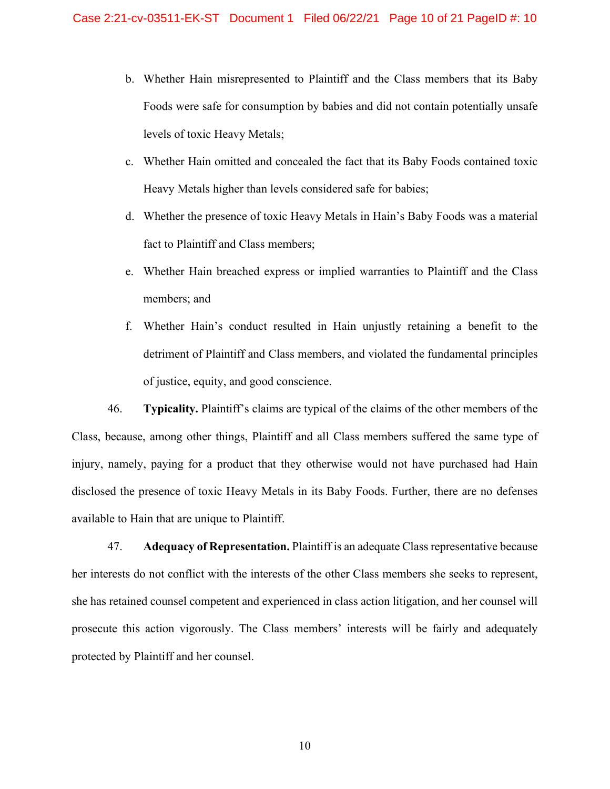- b. Whether Hain misrepresented to Plaintiff and the Class members that its Baby Foods were safe for consumption by babies and did not contain potentially unsafe levels of toxic Heavy Metals;
- c. Whether Hain omitted and concealed the fact that its Baby Foods contained toxic Heavy Metals higher than levels considered safe for babies;
- d. Whether the presence of toxic Heavy Metals in Hain's Baby Foods was a material fact to Plaintiff and Class members;
- e. Whether Hain breached express or implied warranties to Plaintiff and the Class members; and
- f. Whether Hain's conduct resulted in Hain unjustly retaining a benefit to the detriment of Plaintiff and Class members, and violated the fundamental principles of justice, equity, and good conscience.

46. **Typicality.** Plaintiff's claims are typical of the claims of the other members of the Class, because, among other things, Plaintiff and all Class members suffered the same type of injury, namely, paying for a product that they otherwise would not have purchased had Hain disclosed the presence of toxic Heavy Metals in its Baby Foods. Further, there are no defenses available to Hain that are unique to Plaintiff.

47. **Adequacy of Representation.** Plaintiff is an adequate Class representative because her interests do not conflict with the interests of the other Class members she seeks to represent, she has retained counsel competent and experienced in class action litigation, and her counsel will prosecute this action vigorously. The Class members' interests will be fairly and adequately protected by Plaintiff and her counsel.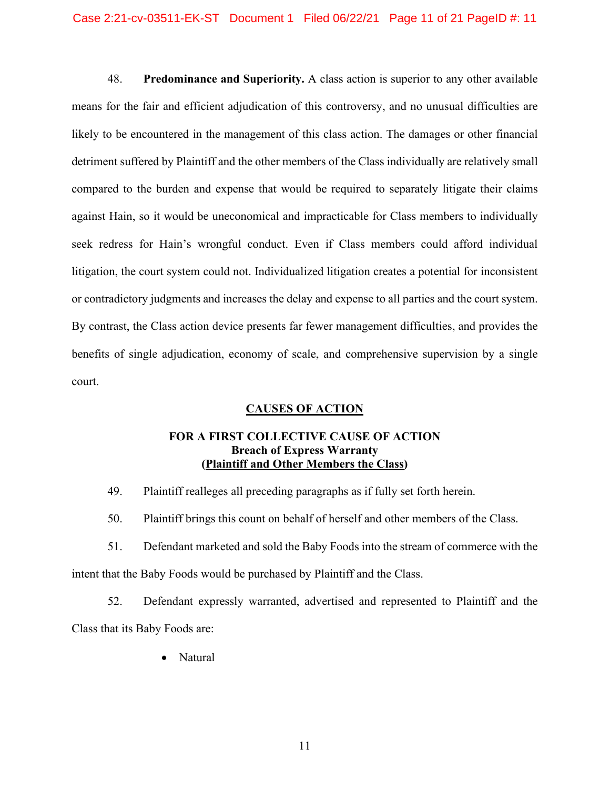48. **Predominance and Superiority.** A class action is superior to any other available means for the fair and efficient adjudication of this controversy, and no unusual difficulties are likely to be encountered in the management of this class action. The damages or other financial detriment suffered by Plaintiff and the other members of the Class individually are relatively small compared to the burden and expense that would be required to separately litigate their claims against Hain, so it would be uneconomical and impracticable for Class members to individually seek redress for Hain's wrongful conduct. Even if Class members could afford individual litigation, the court system could not. Individualized litigation creates a potential for inconsistent or contradictory judgments and increases the delay and expense to all parties and the court system. By contrast, the Class action device presents far fewer management difficulties, and provides the benefits of single adjudication, economy of scale, and comprehensive supervision by a single court.

# **CAUSES OF ACTION**

## **FOR A FIRST COLLECTIVE CAUSE OF ACTION Breach of Express Warranty (Plaintiff and Other Members the Class)**

- 49. Plaintiff realleges all preceding paragraphs as if fully set forth herein.
- 50. Plaintiff brings this count on behalf of herself and other members of the Class.
- 51. Defendant marketed and sold the Baby Foods into the stream of commerce with the intent that the Baby Foods would be purchased by Plaintiff and the Class.

52. Defendant expressly warranted, advertised and represented to Plaintiff and the Class that its Baby Foods are:

• Natural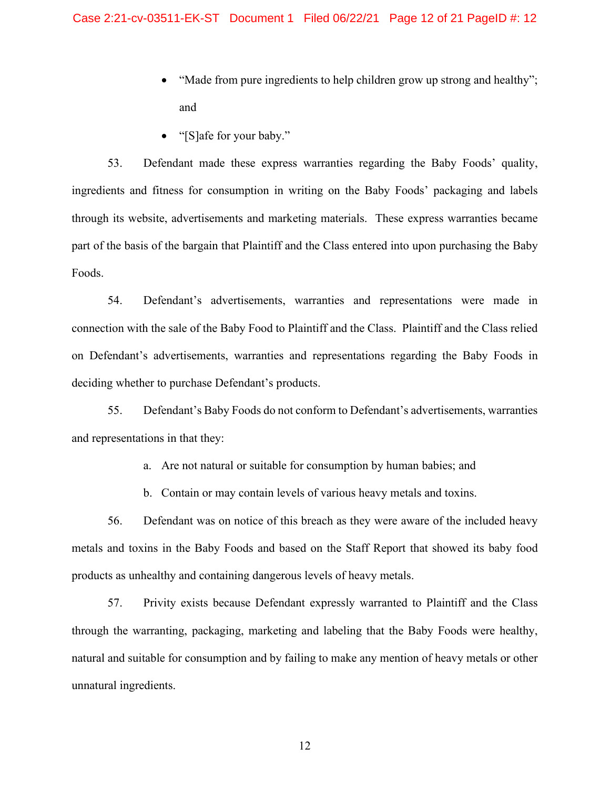- "Made from pure ingredients to help children grow up strong and healthy"; and
- "[S]afe for your baby."

53. Defendant made these express warranties regarding the Baby Foods' quality, ingredients and fitness for consumption in writing on the Baby Foods' packaging and labels through its website, advertisements and marketing materials. These express warranties became part of the basis of the bargain that Plaintiff and the Class entered into upon purchasing the Baby Foods.

54. Defendant's advertisements, warranties and representations were made in connection with the sale of the Baby Food to Plaintiff and the Class. Plaintiff and the Class relied on Defendant's advertisements, warranties and representations regarding the Baby Foods in deciding whether to purchase Defendant's products.

55. Defendant's Baby Foods do not conform to Defendant's advertisements, warranties and representations in that they:

a. Are not natural or suitable for consumption by human babies; and

b. Contain or may contain levels of various heavy metals and toxins.

56. Defendant was on notice of this breach as they were aware of the included heavy metals and toxins in the Baby Foods and based on the Staff Report that showed its baby food products as unhealthy and containing dangerous levels of heavy metals.

57. Privity exists because Defendant expressly warranted to Plaintiff and the Class through the warranting, packaging, marketing and labeling that the Baby Foods were healthy, natural and suitable for consumption and by failing to make any mention of heavy metals or other unnatural ingredients.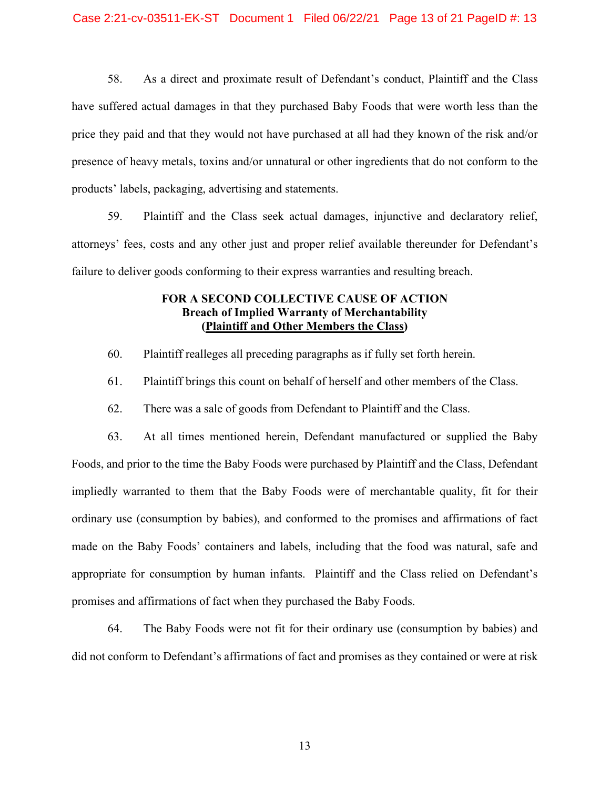58. As a direct and proximate result of Defendant's conduct, Plaintiff and the Class have suffered actual damages in that they purchased Baby Foods that were worth less than the price they paid and that they would not have purchased at all had they known of the risk and/or presence of heavy metals, toxins and/or unnatural or other ingredients that do not conform to the products' labels, packaging, advertising and statements.

59. Plaintiff and the Class seek actual damages, injunctive and declaratory relief, attorneys' fees, costs and any other just and proper relief available thereunder for Defendant's failure to deliver goods conforming to their express warranties and resulting breach.

## **FOR A SECOND COLLECTIVE CAUSE OF ACTION Breach of Implied Warranty of Merchantability (Plaintiff and Other Members the Class)**

- 60. Plaintiff realleges all preceding paragraphs as if fully set forth herein.
- 61. Plaintiff brings this count on behalf of herself and other members of the Class.
- 62. There was a sale of goods from Defendant to Plaintiff and the Class.

63. At all times mentioned herein, Defendant manufactured or supplied the Baby Foods, and prior to the time the Baby Foods were purchased by Plaintiff and the Class, Defendant impliedly warranted to them that the Baby Foods were of merchantable quality, fit for their ordinary use (consumption by babies), and conformed to the promises and affirmations of fact made on the Baby Foods' containers and labels, including that the food was natural, safe and appropriate for consumption by human infants. Plaintiff and the Class relied on Defendant's promises and affirmations of fact when they purchased the Baby Foods.

64. The Baby Foods were not fit for their ordinary use (consumption by babies) and did not conform to Defendant's affirmations of fact and promises as they contained or were at risk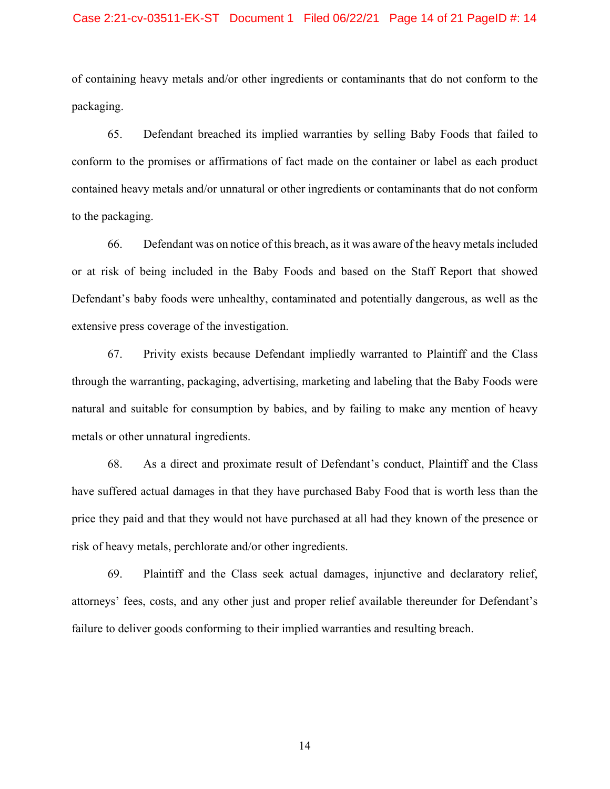### Case 2:21-cv-03511-EK-ST Document 1 Filed 06/22/21 Page 14 of 21 PageID #: 14

of containing heavy metals and/or other ingredients or contaminants that do not conform to the packaging.

65. Defendant breached its implied warranties by selling Baby Foods that failed to conform to the promises or affirmations of fact made on the container or label as each product contained heavy metals and/or unnatural or other ingredients or contaminants that do not conform to the packaging.

66. Defendant was on notice of this breach, as it was aware of the heavy metals included or at risk of being included in the Baby Foods and based on the Staff Report that showed Defendant's baby foods were unhealthy, contaminated and potentially dangerous, as well as the extensive press coverage of the investigation.

67. Privity exists because Defendant impliedly warranted to Plaintiff and the Class through the warranting, packaging, advertising, marketing and labeling that the Baby Foods were natural and suitable for consumption by babies, and by failing to make any mention of heavy metals or other unnatural ingredients.

68. As a direct and proximate result of Defendant's conduct, Plaintiff and the Class have suffered actual damages in that they have purchased Baby Food that is worth less than the price they paid and that they would not have purchased at all had they known of the presence or risk of heavy metals, perchlorate and/or other ingredients.

69. Plaintiff and the Class seek actual damages, injunctive and declaratory relief, attorneys' fees, costs, and any other just and proper relief available thereunder for Defendant's failure to deliver goods conforming to their implied warranties and resulting breach.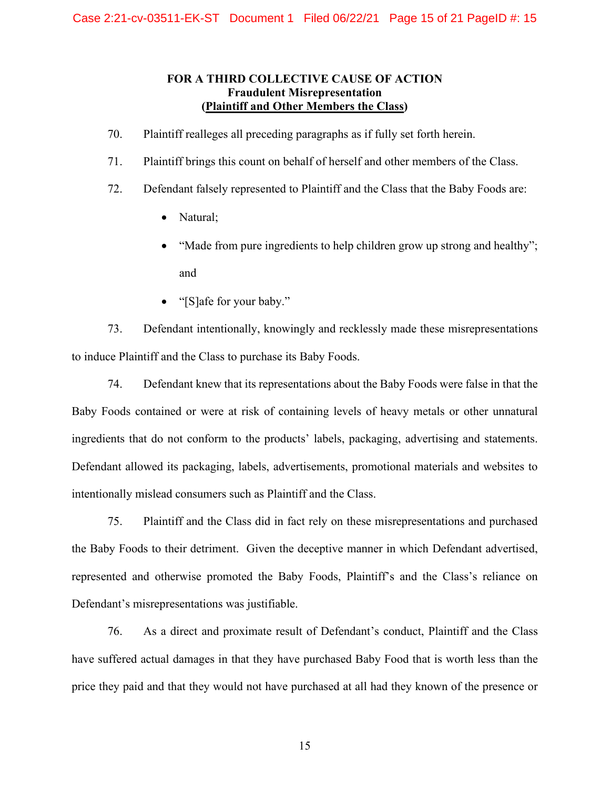## **FOR A THIRD COLLECTIVE CAUSE OF ACTION Fraudulent Misrepresentation (Plaintiff and Other Members the Class)**

- 70. Plaintiff realleges all preceding paragraphs as if fully set forth herein.
- 71. Plaintiff brings this count on behalf of herself and other members of the Class.
- 72. Defendant falsely represented to Plaintiff and the Class that the Baby Foods are:
	- Natural;
	- "Made from pure ingredients to help children grow up strong and healthy"; and
	- "[S]afe for your baby."

73. Defendant intentionally, knowingly and recklessly made these misrepresentations to induce Plaintiff and the Class to purchase its Baby Foods.

74. Defendant knew that its representations about the Baby Foods were false in that the Baby Foods contained or were at risk of containing levels of heavy metals or other unnatural ingredients that do not conform to the products' labels, packaging, advertising and statements. Defendant allowed its packaging, labels, advertisements, promotional materials and websites to intentionally mislead consumers such as Plaintiff and the Class.

75. Plaintiff and the Class did in fact rely on these misrepresentations and purchased the Baby Foods to their detriment. Given the deceptive manner in which Defendant advertised, represented and otherwise promoted the Baby Foods, Plaintiff's and the Class's reliance on Defendant's misrepresentations was justifiable.

76. As a direct and proximate result of Defendant's conduct, Plaintiff and the Class have suffered actual damages in that they have purchased Baby Food that is worth less than the price they paid and that they would not have purchased at all had they known of the presence or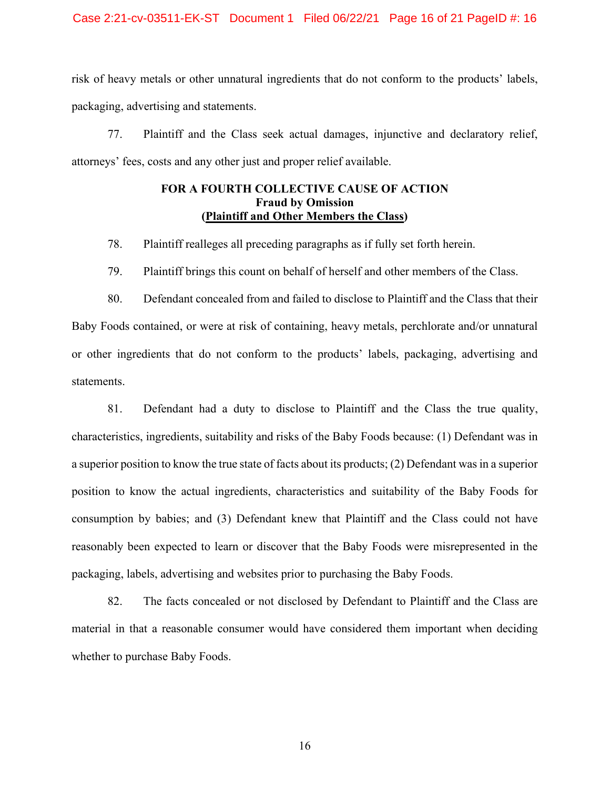risk of heavy metals or other unnatural ingredients that do not conform to the products' labels, packaging, advertising and statements.

77. Plaintiff and the Class seek actual damages, injunctive and declaratory relief, attorneys' fees, costs and any other just and proper relief available.

## **FOR A FOURTH COLLECTIVE CAUSE OF ACTION Fraud by Omission (Plaintiff and Other Members the Class)**

78. Plaintiff realleges all preceding paragraphs as if fully set forth herein.

79. Plaintiff brings this count on behalf of herself and other members of the Class.

80. Defendant concealed from and failed to disclose to Plaintiff and the Class that their Baby Foods contained, or were at risk of containing, heavy metals, perchlorate and/or unnatural or other ingredients that do not conform to the products' labels, packaging, advertising and statements.

81. Defendant had a duty to disclose to Plaintiff and the Class the true quality, characteristics, ingredients, suitability and risks of the Baby Foods because: (1) Defendant was in a superior position to know the true state of facts about its products; (2) Defendant was in a superior position to know the actual ingredients, characteristics and suitability of the Baby Foods for consumption by babies; and (3) Defendant knew that Plaintiff and the Class could not have reasonably been expected to learn or discover that the Baby Foods were misrepresented in the packaging, labels, advertising and websites prior to purchasing the Baby Foods.

82. The facts concealed or not disclosed by Defendant to Plaintiff and the Class are material in that a reasonable consumer would have considered them important when deciding whether to purchase Baby Foods.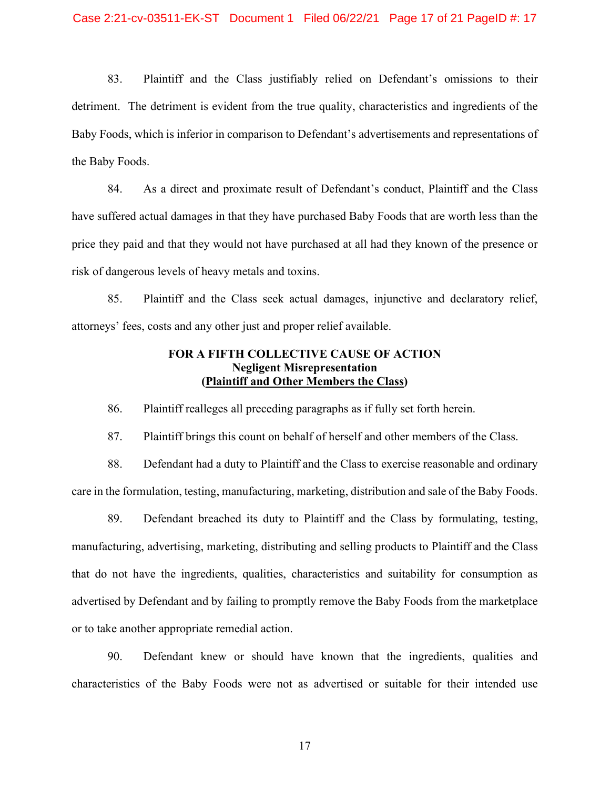83. Plaintiff and the Class justifiably relied on Defendant's omissions to their detriment. The detriment is evident from the true quality, characteristics and ingredients of the Baby Foods, which is inferior in comparison to Defendant's advertisements and representations of the Baby Foods.

84. As a direct and proximate result of Defendant's conduct, Plaintiff and the Class have suffered actual damages in that they have purchased Baby Foods that are worth less than the price they paid and that they would not have purchased at all had they known of the presence or risk of dangerous levels of heavy metals and toxins.

85. Plaintiff and the Class seek actual damages, injunctive and declaratory relief, attorneys' fees, costs and any other just and proper relief available.

### **FOR A FIFTH COLLECTIVE CAUSE OF ACTION Negligent Misrepresentation (Plaintiff and Other Members the Class)**

86. Plaintiff realleges all preceding paragraphs as if fully set forth herein.

87. Plaintiff brings this count on behalf of herself and other members of the Class.

88. Defendant had a duty to Plaintiff and the Class to exercise reasonable and ordinary care in the formulation, testing, manufacturing, marketing, distribution and sale of the Baby Foods.

89. Defendant breached its duty to Plaintiff and the Class by formulating, testing, manufacturing, advertising, marketing, distributing and selling products to Plaintiff and the Class that do not have the ingredients, qualities, characteristics and suitability for consumption as advertised by Defendant and by failing to promptly remove the Baby Foods from the marketplace or to take another appropriate remedial action.

90. Defendant knew or should have known that the ingredients, qualities and characteristics of the Baby Foods were not as advertised or suitable for their intended use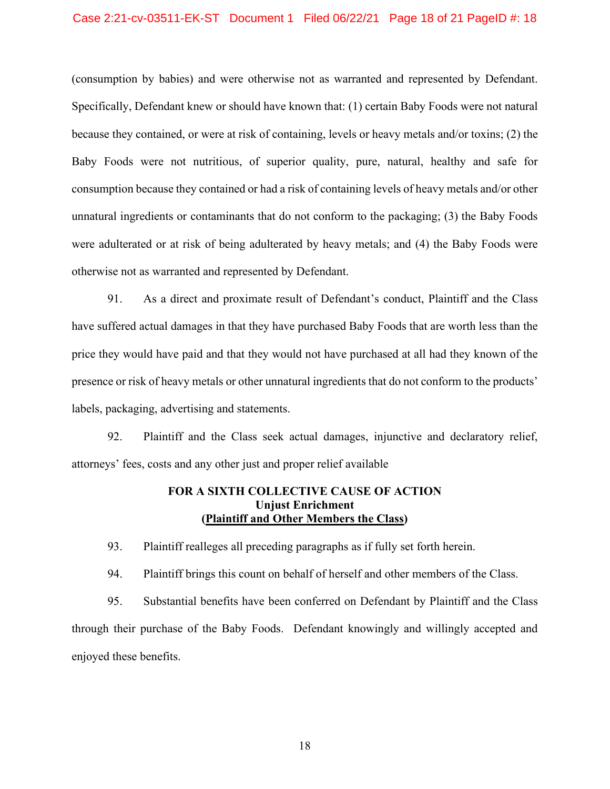#### Case 2:21-cv-03511-EK-ST Document 1 Filed 06/22/21 Page 18 of 21 PageID #: 18

(consumption by babies) and were otherwise not as warranted and represented by Defendant. Specifically, Defendant knew or should have known that: (1) certain Baby Foods were not natural because they contained, or were at risk of containing, levels or heavy metals and/or toxins; (2) the Baby Foods were not nutritious, of superior quality, pure, natural, healthy and safe for consumption because they contained or had a risk of containing levels of heavy metals and/or other unnatural ingredients or contaminants that do not conform to the packaging; (3) the Baby Foods were adulterated or at risk of being adulterated by heavy metals; and (4) the Baby Foods were otherwise not as warranted and represented by Defendant.

91. As a direct and proximate result of Defendant's conduct, Plaintiff and the Class have suffered actual damages in that they have purchased Baby Foods that are worth less than the price they would have paid and that they would not have purchased at all had they known of the presence or risk of heavy metals or other unnatural ingredients that do not conform to the products' labels, packaging, advertising and statements.

92. Plaintiff and the Class seek actual damages, injunctive and declaratory relief, attorneys' fees, costs and any other just and proper relief available

### **FOR A SIXTH COLLECTIVE CAUSE OF ACTION Unjust Enrichment (Plaintiff and Other Members the Class)**

93. Plaintiff realleges all preceding paragraphs as if fully set forth herein.

94. Plaintiff brings this count on behalf of herself and other members of the Class.

95. Substantial benefits have been conferred on Defendant by Plaintiff and the Class through their purchase of the Baby Foods. Defendant knowingly and willingly accepted and enjoyed these benefits.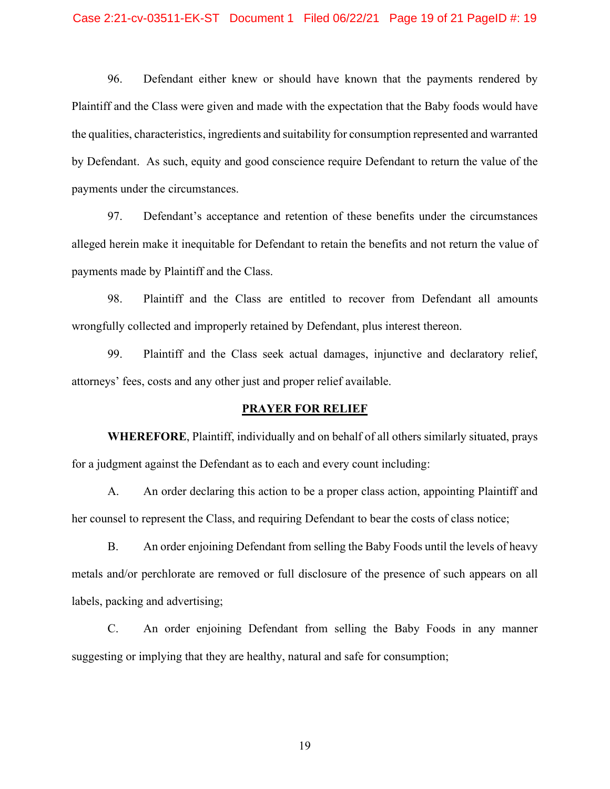96. Defendant either knew or should have known that the payments rendered by Plaintiff and the Class were given and made with the expectation that the Baby foods would have the qualities, characteristics, ingredients and suitability for consumption represented and warranted by Defendant. As such, equity and good conscience require Defendant to return the value of the payments under the circumstances.

97. Defendant's acceptance and retention of these benefits under the circumstances alleged herein make it inequitable for Defendant to retain the benefits and not return the value of payments made by Plaintiff and the Class.

98. Plaintiff and the Class are entitled to recover from Defendant all amounts wrongfully collected and improperly retained by Defendant, plus interest thereon.

99. Plaintiff and the Class seek actual damages, injunctive and declaratory relief, attorneys' fees, costs and any other just and proper relief available.

#### **PRAYER FOR RELIEF**

**WHEREFORE**, Plaintiff, individually and on behalf of all others similarly situated, prays for a judgment against the Defendant as to each and every count including:

A. An order declaring this action to be a proper class action, appointing Plaintiff and her counsel to represent the Class, and requiring Defendant to bear the costs of class notice;

B. An order enjoining Defendant from selling the Baby Foods until the levels of heavy metals and/or perchlorate are removed or full disclosure of the presence of such appears on all labels, packing and advertising;

C. An order enjoining Defendant from selling the Baby Foods in any manner suggesting or implying that they are healthy, natural and safe for consumption;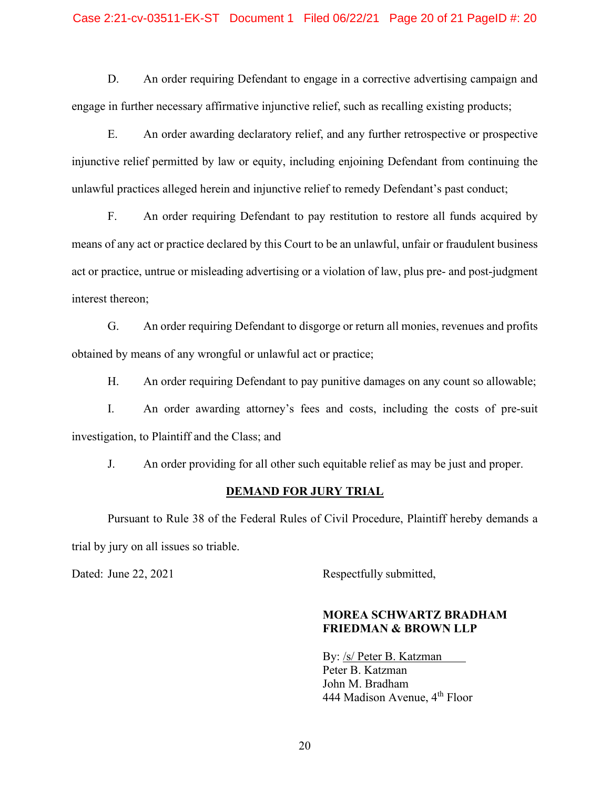### Case 2:21-cv-03511-EK-ST Document 1 Filed 06/22/21 Page 20 of 21 PageID #: 20

D. An order requiring Defendant to engage in a corrective advertising campaign and engage in further necessary affirmative injunctive relief, such as recalling existing products;

E. An order awarding declaratory relief, and any further retrospective or prospective injunctive relief permitted by law or equity, including enjoining Defendant from continuing the unlawful practices alleged herein and injunctive relief to remedy Defendant's past conduct;

F. An order requiring Defendant to pay restitution to restore all funds acquired by means of any act or practice declared by this Court to be an unlawful, unfair or fraudulent business act or practice, untrue or misleading advertising or a violation of law, plus pre- and post-judgment interest thereon;

G. An order requiring Defendant to disgorge or return all monies, revenues and profits obtained by means of any wrongful or unlawful act or practice;

H. An order requiring Defendant to pay punitive damages on any count so allowable;

I. An order awarding attorney's fees and costs, including the costs of pre-suit investigation, to Plaintiff and the Class; and

J. An order providing for all other such equitable relief as may be just and proper.

#### **DEMAND FOR JURY TRIAL**

Pursuant to Rule 38 of the Federal Rules of Civil Procedure, Plaintiff hereby demands a trial by jury on all issues so triable.

Dated: June 22, 2021 Respectfully submitted,

## **MOREA SCHWARTZ BRADHAM FRIEDMAN & BROWN LLP**

By: /s/ Peter B. Katzman Peter B. Katzman John M. Bradham 444 Madison Avenue, 4<sup>th</sup> Floor